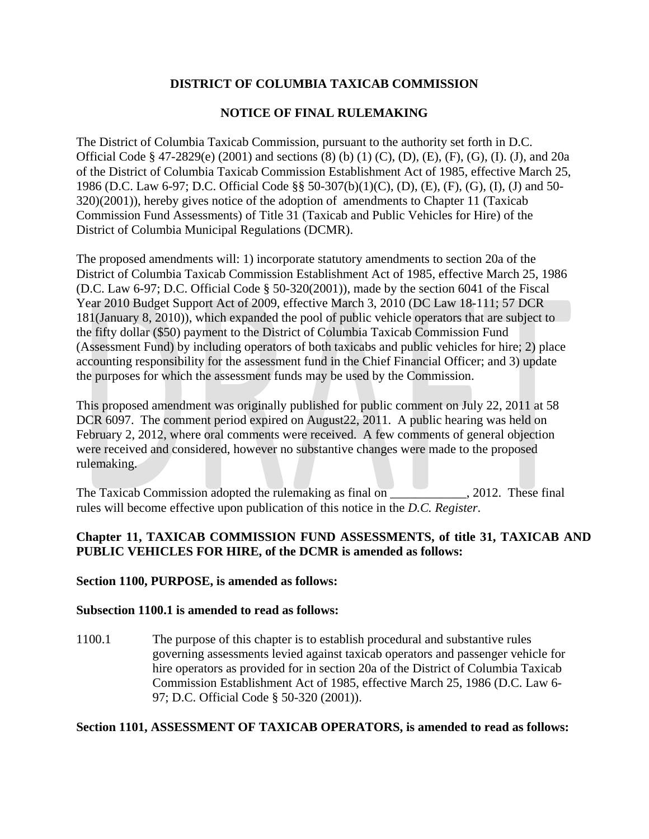# **DISTRICT OF COLUMBIA TAXICAB COMMISSION**

## **NOTICE OF FINAL RULEMAKING**

The District of Columbia Taxicab Commission, pursuant to the authority set forth in D.C. Official Code § 47-2829(e) (2001) and sections (8) (b) (1) (C), (D), (E), (F), (G), (I). (J), and 20a of the District of Columbia Taxicab Commission Establishment Act of 1985, effective March 25, 1986 (D.C. Law 6-97; D.C. Official Code §§ 50-307(b)(1)(C), (D), (E), (F), (G), (I), (J) and 50- 320)(2001)), hereby gives notice of the adoption of amendments to Chapter 11 (Taxicab Commission Fund Assessments) of Title 31 (Taxicab and Public Vehicles for Hire) of the District of Columbia Municipal Regulations (DCMR).

The proposed amendments will: 1) incorporate statutory amendments to section 20a of the District of Columbia Taxicab Commission Establishment Act of 1985, effective March 25, 1986 (D.C. Law 6-97; D.C. Official Code § 50-320(2001)), made by the section 6041 of the Fiscal Year 2010 Budget Support Act of 2009, effective March 3, 2010 (DC Law 18-111; 57 DCR 181(January 8, 2010)), which expanded the pool of public vehicle operators that are subject to the fifty dollar (\$50) payment to the District of Columbia Taxicab Commission Fund (Assessment Fund) by including operators of both taxicabs and public vehicles for hire; 2) place accounting responsibility for the assessment fund in the Chief Financial Officer; and 3) update the purposes for which the assessment funds may be used by the Commission.

This proposed amendment was originally published for public comment on July 22, 2011 at 58 DCR 6097. The comment period expired on August22, 2011. A public hearing was held on February 2, 2012, where oral comments were received. A few comments of general objection were received and considered, however no substantive changes were made to the proposed rulemaking.

The Taxicab Commission adopted the rulemaking as final on \_\_\_\_\_\_\_\_\_\_\_, 2012. These final rules will become effective upon publication of this notice in the *D.C. Register*.

# **Chapter 11, TAXICAB COMMISSION FUND ASSESSMENTS, of title 31, TAXICAB AND PUBLIC VEHICLES FOR HIRE, of the DCMR is amended as follows:**

#### **Section 1100, PURPOSE, is amended as follows:**

#### **Subsection 1100.1 is amended to read as follows:**

1100.1 The purpose of this chapter is to establish procedural and substantive rules governing assessments levied against taxicab operators and passenger vehicle for hire operators as provided for in section 20a of the District of Columbia Taxicab Commission Establishment Act of 1985, effective March 25, 1986 (D.C. Law 6- 97; D.C. Official Code § 50-320 (2001)).

### **Section 1101, ASSESSMENT OF TAXICAB OPERATORS, is amended to read as follows:**